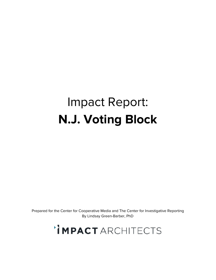# Impact Report: **N.J. Voting Block**

Prepared for the Center for Cooperative Media and The Center for Investigative Reporting By Lindsay Green-Barber, PhD

'IMPACTARCHITECTS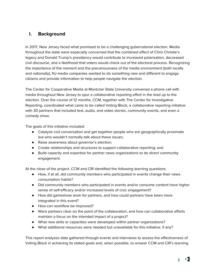# **I. Background**

In 2017, New Jersey faced what promised to be a challenging gubernatorial election. Media throughout the state were especially concerned that the combined effect of Chris Christie's legacy and Donald Trump's presidency would contribute to increased polarization, decreased civil discourse, and a likelihood that voters would check out of the electoral process. Recognizing the importance of the moment and the precariousness of the media environment (both locally and nationally), NJ media companies wanted to do something new and different to engage citizens and provide information to help people navigate the election.

The Center for Cooperative Media at Montclair State University convened a phone call with media throughout New Jersey to spur a collaborative reporting effort in the lead up to the election. Over the course of 12 months, CCM, together with The Center for Investigative Reporting, coordinated what came to be called Voting Block, a collaborative reporting initiative with 30 partners that included text, audio, and video stories, community events, and even a comedy show.

The goals of this initiative included:

- Catalyze civil conversation and get together people who are geographically proximate but who wouldn't normally talk about these issues;
- Raise awareness about governor's election;
- Create relationships and structures to support collaborative reporting; and
- Build capacity and expertise for partner news organizations to do direct community engagement.

At the close of the project, CCM and CIR identified the following learning questions:

- How, if at all, did community members who participated in events change their news consumption habits?
- Did community members who participated in events and/or consume content have higher sense of self-efficacy and/or increased levels of civic engagement?
- How did gameshow work for partners, and how could partners have been more integrated in this event?
- How can workflow be improved?
- Were partners clear on the point of the collaboration, and how can collaborative efforts maintain a focus on the intended impact of a project?
- What new skills or capacities were developed within partner organizations?
- What additional resources were needed but unavailable for this initiative, if any?

This report analyzes data gathered through events and interviews to assess the effectiveness of Voting Block in achieving its stated goals and, when possible, to answer CCM and CIR's learning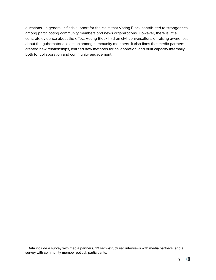questions.<sup>1</sup> In general, it finds support for the claim that Voting Block contributed to stronger ties among participating community members and news organizations. However, there is little concrete evidence about the effect Voting Block had on civil conversations or raising awareness about the gubernatorial election among community members. It also finds that media partners created new relationships, learned new methods for collaboration, and built capacity internally, both for collaboration and community engagement.

<sup>1</sup> Data include a survey with media partners, 13 semi-structured interviews with media partners, and a survey with community member potluck participants.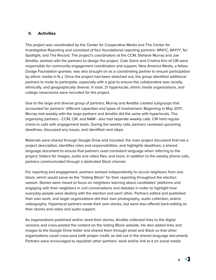#### **II. Activities**

The project was coordinated by the Center for Cooperative Media and The Center for Investigative Reporting and consisted of four foundational reporting partners: WNYC, WHYY, NJ Spotlight, and The Record. The project's coordinators at the CCM, Stefanie Murray and Joe Amditis, worked with the partners to design the project. Cole Goins and Cristina Kim of CIR were responsible for community engagement coordination and support. New America Media, a fellow Dodge Foundation grantee, was also brought on as a coordinating partner to ensure participation by ethnic media in N.J. Once the project had been sketched out, the group identified additional partners to invite to participate, especially with a goal to ensure the collaborative was racially, ethnically, and geographically diverse. In total, 21 hyperlocals, ethnic media organizations, and college newsrooms were recruited for the project.

Due to the large and diverse group of partners, Murray and Amditis created subgroups that accounted for partners' different capacities and types of involvement. Beginning in May 2017, Murray met weekly with the large partners and Amditis did the same with hyperlocals. The organizing partners - CCM, CIR, and NAM - also had separate weekly calls. CIR held regular check-in calls with engagement leads. During the weekly calls, partners reviewed upcoming deadlines, discussed any issues, and identified next steps.

Materials were shared through Google Drive and included: the main project document that has a project description, identifies roles and responsibilities, and highlights deadlines; a shared language document to ensure that partners used consistent language when referring to the project; folders for images, audio and video files; and more. In addition to the weekly phone calls, partners communicated through a dedicated Slack channel.

For reporting and engagement, partners worked independently to recruit neighbors from one block, which would serve as the "Voting Block" for their reporting throughout the election season. Stories were meant to focus on neighbors learning about candidates' platforms and engaging with their neighbors in civil conversations and debates in order to highlight how everyday people were dealing with the election and each other. Partners edited and published their own work, and larger organizations did their own photography, audio collection, and/or videography. Hyperlocal partners wrote their own stories, but were also offered back-editing on their stories and video and audio support.

As organizations published and/or aired their stories, Amditis collected links to the digital versions and cross-posted the content on the Voting Block website. He also added links and images to the Google Drive folder and shared them through email and Slack so that other organizations could cross-post (with proper credit, as laid out in the shared language document). Partners were encouraged to republish other partners' work and/or link to it on social media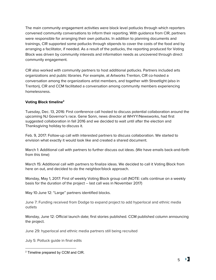The main community engagement activities were block level potlucks through which reporters convened community conversations to inform their reporting. With guidance from CIR, partners were responsible for arranging their own potlucks. In addition to planning documents and trainings, CIR supported some potlucks through stipends to cover the costs of the food and by arranging a facilitator, if needed. As a result of the potlucks, the reporting produced for Voting Block was driven by community interests and information needs as uncovered through direct community engagement.

CIR also worked with community partners to host additional potlucks. Partners included arts organizations and public libraries. For example, at Artworks Trenton, CIR co-hosted a conversation among the organizations artist members, and together with Streetlight (also in Trenton), CIR and CCM facilitated a conversation among community members experiencing homelessness.

# **Voting Block timeline 2**

Tuesday, Dec. 13, 2016: First conference call hosted to discuss potential collaboration around the upcoming NJ Governor's race. Gene Sonn, news director at WHYY/Newsworks, had first suggested collaboration in fall 2016 and we decided to wait until after the election and Thanksgiving holiday to discuss it.

Feb. 9, 2017: Follow-up call with interested partners to discuss collaboration. We started to envision what exactly it would look like and created a shared document.

March 1: Additional call with partners to further discuss out ideas. (We have emails back-and-forth from this time)

March 15: Additional call with partners to finalize ideas. We decided to call it Voting Block from here on out, and decided to do the neighbor/block approach.

Monday, May 1, 2017: First of weekly Voting Block group call (NOTE: calls continue on a weekly basis for the duration of the project -- last call was in November 2017)

May 10-June 12: "Large" partners identified blocks.

June 7: Funding received from Dodge to expand project to add hyperlocal and ethnic media outlets

Monday, June 12: Official launch date; first stories published. CCM published column announcing the project.

June 29: hyperlocal and ethnic media partners still being recruited

July 5: Potluck guide in final edits

<sup>2</sup> Timeline prepared by CCM and CIR.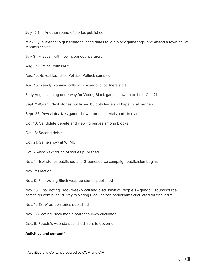July 12-ish: Another round of stories published

mid-July: outreach to gubernatorial candidates to join block gatherings, and attend a town hall at Montclair State

July 31: First call with new hyperlocal partners

Aug. 3: First call with NAM

Aug. 16: Reveal launches Political Potluck campaign

Aug. 16: weekly planning calls with hyperlocal partners start

Early Aug.: planning underway for Voting Block game show, to be held Oct. 21

Sept. 11-18-ish: Next stories published by both large and hyperlocal partners

Sept. 25: Reveal finalizes game show promo materials and circulates

Oct. 10: Candidate debate and viewing parties among blocks

Oct. 18: Second debate

Oct. 21: Game show at WFMU

Oct. 25-ish: Next round of stories published

Nov. 1: Next stories published and Groundsource campaign publication begins

Nov. 7: Election

Nov. 9: First Voting Block wrap-up stories published

Nov. 15: Final Voting Block weekly call and discussion of People's Agenda; Groundsource campaign continues; survey to Voting Block citizen participants circulated for final edits

Nov. 16-18: Wrap-up stories published

Nov. 28: Voting Block media partner survey circulated

Dec. 9: People's Agenda published, sent to governor

#### **Activities and content 3**

<sup>&</sup>lt;sup>3</sup> Activities and Content prepared by CCM and CIR.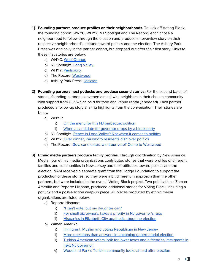- **1) Founding partners produce profiles on their neighborhoods.** To kick off Voting Block, the founding cohort (WNYC, WHYY, NJ Spotlight and The Record) each chose a neighborhood to follow through the election and produce an overview story on their respective neighborhood's attitude toward politics and the election. The Asbury Park Press was originally in the partner cohort, but dropped out after their first story. Links to these first stories are below:
	- a) WNYC: West [Orange](http://www.wnyc.org/story/nj-neighbors-who-dare-talk-politics/)
	- b) NJ Spotlight: Long [Valley](http://www.njspotlight.com/stories/17/06/12/does-politics-have-a-role-to-play-in-pastoral-long-valley/)
	- c) WHYY: [Paulsboro](http://www.newsworks.org/index.php/local/new-jersey/104193-a-look-at-nj-governors-race-from-the-blue-collar-enclave-of-paulsboro)
	- d) The Record: [Westwood](http://www.northjersey.com/story/news/politics/elections/2017/06/12/westwood-voters-dont-care-red-and-blue-just-green/384474001/)
	- e) Asbury Park Press: [Jackson](http://www.app.com/story/news/local/new-jersey/2017/08/24/jackson-voters-have-been-solid-red/592676001/)
- **2) Founding partners host potlucks and produce second stories.** For the second batch of stories, founding partners convened a meal with neighbors in their chosen community with support from CIR, which paid for food and venue rental (if needed). Each partner produced a follow-up story sharing highlights from the conversation. Their stories are below:
	- a) WNYC:
		- i) On the menu for this NJ [barbecue:](http://www.wnyc.org/story/voting-block-politics-summer-bbq-party/) politics
		- ii) When a [candidate](http://www.wnyc.org/story/voting-block-when-candidate-governor-drops-block-party/) for governor drops by a block party
	- b) NJ Spotlight: Peace in Long [Valley?](http://www.njspotlight.com/stories/17/07/16/peace-in-long-valley-maybe-not-when-the-talk-turns-to-politics/) Not when it comes to politics
	- c) WHYY: Over dinner, [Paulsboro](https://whyy.org/articles/over-dinner-paulsboro-residents-dish-on-nj-politics-and-politicians-photos/) residents dish over politics
	- d) The Record: Gov. [candidates,](http://www.northjersey.com/story/news/politics/elections/2017/07/14/gov-candidates-want-our-vote-come-westwood-residents-say/448890001/) want our vote? Come to Westwood
- **3) Ethnic media partners produce family profiles.** Through coordination by New America Media, four ethnic media organizations contributed stories that were profiles of different families and communities in New Jersey and their attitudes toward politics and the election. NAM received a separate grant from the Dodge Foundation to support the production of these stories, so they were a bit different in approach than the other partners, but were included in the overall Voting Block project. Two publications, Zaman Amerika and Reporte Hispano, produced additional stories for Voting Block, including a potluck and a post-election wrap-up piece. All pieces produced by ethnic media organizations are listed below:
	- a) Reporte Hispano:
		- i) "I can't vote, but my [daughter](https://www.votingblocknj.com/i-cant-vote-but-my-daughter-can) can"
		- ii) For small biz owners, taxes a priority in NJ [governor's](http://newamericamedia.org/2017/10/for-small-biz-owners-taxes-are-priority-in-nj-govs-race.php) race
		- iii) [Hispanics](https://www.votingblocknj.com/hispanics-in-elizabeth-apathetic-elections) in Elizabeth City apathetic about the election
	- b) Zaman Amerika:
		- i) Immigrant, Muslim and voting [Republican](https://www.votingblocknj.com/immigrant-muslim-voting-republican-new-jersey) in New Jersey
		- ii) More questions than answers in upcoming qubernatorial election
		- iii) [Turkish-American](https://www.votingblocknj.com/turkish-american-voters-look-for-lower-taxes-friend-to-immigrants-in-next-nj-governor) voters look for lower taxes and a friend to immigrants in next NJ [governor](https://www.votingblocknj.com/turkish-american-voters-look-for-lower-taxes-friend-to-immigrants-in-next-nj-governor)
		- iv) Woodland Park's Turkish [community](https://www.votingblocknj.com/woodland-parks-turkish-community-looks-ahead-after-new-jerseys-election) looks ahead after election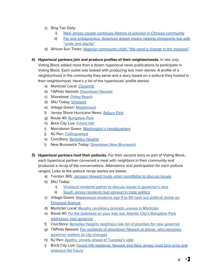- c) Sing Tao Daily:
	- i) New Jersey couple continues lifetime of activism in Chinese [community](https://www.votingblocknj.com/new-jersey-couple-contines-lifetime-activism-chinese-community)
	- ii) For one [entrepreneur,](https://www.votingblocknj.com/for-one-entrepreneur-american-dream-means-helping-immigrants-live-with-pride-dignity) American dream means helping immigrants live with "pride and [dignity"](https://www.votingblocknj.com/for-one-entrepreneur-american-dream-means-helping-immigrants-live-with-pride-dignity)
- d) African Sun Times: Nigerian [community](http://africansuntimes.com/2017/08/nigerian-community-chief-need-change-mansion/) chief: "We need a change in the mansion"
- **4) Hyperlocal partners join and produce profiles of their neighborhoods.** In late July,

Voting Block added more than a dozen hyperlocal news publications to participate in Voting Block. Each outlet was tasked with producing two main stories: A profile of a neighborhood in the community they serve and a story based on a potluck they hosted in their neighborhood. Here's a list of the hyperlocals' profile stories:

- a) Montclair Local: [Cloverhill](http://www.montclairlocal.news/wp/index.php/2017/09/14/montclairs-cloverhill-place-takes-pride-in-its-diversity-activism/)
- b) TAPinto Newark: [Downtown](https://www.tapinto.net/towns/newark/articles/in-downtown-newark-the-2017-nj-governors-race-l) Newark
- c) Shorebeat: Ortley [Beach](http://lavallette-seaside.shorebeat.com/2017/09/the-n-j-governors-race-from-sandys-ground-zero/)
- d) SNJ Today: [Vineland](http://www.snjtoday.com/story/36402437/vineland-voters-asked-do-you-have-issues)
- e) Village Green: [Maplewood](https://villagegreennj.com/election/trump-pinata-treasured-school-political-divisions-maplewoods-elmwood-avenue/)
- f) Jersey Shore Hurricane News: [Asbury](http://jshn.org/the-blue-block-a-look-at-asbury-park-voters/) Park
- g) Route 40: [Bungalow](https://rtforty.com/bungalow-park-the-daily-grind-in-the-shadow-of-a-dying-industry/) Park
- h) Brick City Live: [Forest](http://brickcitylive.com/news/andaiye/voting-block-newarks-forest-hill-residents-put-the-neighbor-in-neighborhood/) Hill
- i) Morristown Green: Washington's [Headquarters](https://morristowngreen.com/2017/10/02/straddling-the-political-divide-washingtons-hq-neighborhood-finds-common-ground-between-morristown-morris-towship/)
- j) NJ Pen: [Collingswood](http://www.njpen.com/voting-block-nj-collingswood-neighbors-keep-the-peace-by-talking-politics-less-town-culture-more/)
- k) CivicStory: [Berkeley](http://www.civicstory.org/civics-blog/2017/10/26/civicstory-voting-block-potluck-supper-berkeley-heights-hyfjk) Heights
- l) New Brunswick Today: [Downtown](http://newbrunswicktoday.com/article/downtown-nb-grows-its-potential-impact-elections) New Brunswick
- **5) Hyperlocal partners host their potlucks.** For their second story as part of Voting Block, each hyperlocal partner convened a meal with neighbors in their community and produced a recap of the conversations. Attendance and participation for each potluck ranged. Links to the potluck recap stories are below:
	- a) Trenton 365: Jacques Howard hosts voter [roundtable](https://www.youtube.com/watch?v=3M5X4jPTnRI&feature=youtu.be) to discuss issues
	- b) SNJ Today:
		- i) Vineland residents gather to discuss issues in [governor's](http://www.snjtoday.com/story/36582971/vineland-residents-gather-to-discuss-issues-in-governors-race) race
		- ii) South Jersey [residents](http://www.snjtoday.com/story/36669374/vineland-locals-examine-gubernatorial-race) feel ignored in state politics
	- c) Village Green: [Maplewood](https://villagegreennj.com/towns/maplewood/maplewood-residents-ages-9-to-90-hash-out-political-divide-on-elmwood-avenuefrom-age-9-to-90-maplewood-residents-hash-out-political-divide-on-elmwood-avenue/) residents age 9 to 90 hash out political divide on [Elmwood](https://villagegreennj.com/towns/maplewood/maplewood-residents-ages-9-to-90-hash-out-political-divide-on-elmwood-avenuefrom-age-9-to-90-maplewood-residents-hash-out-political-divide-on-elmwood-avenue/) Avenue
	- d) Montclair Local: Murphy [candidacy](http://www.montclairlocal.news/wp/index.php/2017/10/19/political-potluck-murphy-candidacy-prompts-unease-montclair/) prompts unease in Montclair
	- e) Route 40: Fix the bulkhead on your way out: Atlantic City's [Bungalow](https://rtforty.com/fix-the-bulkhead-on-your-way-out-atlantic-citys-bungalow-park-addresses-next-governor/) Park [addresses](https://rtforty.com/fix-the-bulkhead-on-your-way-out-atlantic-citys-bungalow-park-addresses-next-governor/) next governor
	- f) CivicStory: Berkeley Heights [neighbors](http://www.civicstory.org/civics-blog/2017/10/26/civicstory-voting-block-potluck-supper-berkeley-heights-hyfjk) talk list of priorities for new governor
	- g) TAPinto Newark: For residents of [downtown](https://www.tapinto.net/towns/newark/articles/voting-block-for-residents-of-downtown-newark-at) Newark at dinner, who becomes [governor](https://www.tapinto.net/towns/newark/articles/voting-block-for-residents-of-downtown-newark-at) matters as city changes
	- h) NJ Pen: Apathy, anxiety ahead of [Tuesday's](http://www.njpen.com/voting-block-nj-apathy-anxiety-ahead-of-tuesdays-vote/) vote
	- i) Brick City Live: Forest Hill [residents:](http://brickcitylive.com/politics/andaiye/forest-hill-residents-newark-and-new-jersey-must-locks-arms-to-embrace-the-future/) Newark and New Jersey must lock arms and [embrace](http://brickcitylive.com/politics/andaiye/forest-hill-residents-newark-and-new-jersey-must-locks-arms-to-embrace-the-future/) the future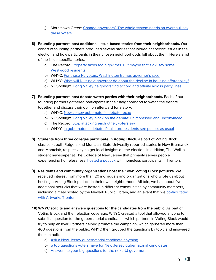- j) Morristown Green: Change [governors?](https://morristowngreen.com/2017/11/03/change-governors-the-whole-system-needs-an-overhaul-say-these-voters-from-washingtons-headquarters-in-morristown/) The whole system needs an overhaul, say these [voters](https://morristowngreen.com/2017/11/03/change-governors-the-whole-system-needs-an-overhaul-say-these-voters-from-washingtons-headquarters-in-morristown/)
- **6) Founding partners post additional, issue-based stories from their neighborhoods.** Our cohort of founding partners produced several stories that looked at specific issues in the election and how participants in their chosen neighborhoods felt about them. Here's a list of the issue-specific stories:
	- a) The Record: [Property](http://www.northjersey.com/story/news/bergen/westwood/2017/09/22/property-taxes-too-high-yes-but-maybe-thats-ok-say-some-westwood-residents/686007001/) taxes too high? Yes. But maybe that's ok, say some [Westwood](http://www.northjersey.com/story/news/bergen/westwood/2017/09/22/property-taxes-too-high-yes-but-maybe-thats-ok-say-some-westwood-residents/686007001/) residents
	- b) WNYC: For these NJ voters, [Washington](https://www.wnyc.org/story/new-jersey-voters-washington-trumps-governors-race/) trumps governor's race
	- c) WHYY: What will NJ's next governor do about the decline in housing [affordability?](https://whyy.org/articles/voting-block-will-n-j-s-next-governor-decline-housing-affordability/)
	- d) NJ Spotlight: Long Valley [neighbors](http://www.njspotlight.com/stories/17/09/20/long-valley-neighbors-find-accord-and-affinity-across-party-lines/) find accord and affinity across party lines
- **7) Founding partners host debate watch parties with their neighborhoods.** Each of our founding partners gathered participants in their neighborhood to watch the debate together and discuss their opinion afterward for a story.
	- a) WNYC: New Jersey [gubernatorial](https://www.wnyc.org/story/new-jersey-gubernatorial-debate-recap) debate recap
	- b) NJ Spotlight: Long Valley block on the debate: [unimpressed](http://www.njspotlight.com/stories/17/10/11/long-valley-voting-block-on-the-debate-unimpressed-and-unconvinced/) and unconvinced
	- c) The Record: Stop [attacking](http://www.northjersey.com/story/news/politics/elections/2017/10/11/gov-debate-stop-attacking-each-other-voters-say/751247001/) each other, voters say
	- d) WHYY: In [gubernatorial](https://whyy.org/articles/voting-block-n-j-gubernatorial-debate-paulsboro-residents-see-politics-usual/) debate, Paulsboro residents see politics as usual
- **8) Students from three colleges participate in Voting Block.** As part of Voting Block classes at both Rutgers and Montclair State University reported stories in New Brunswick and Montclair, respectively, to get local insights on the election. In addition, The Wall, a student newspaper at The College of New Jersey that primarily serves people experiencing homelessness, hosted a [potluck](https://thewall.pages.tcnj.edu/2017/10/22/come-eat-and-talk-politics-with-the-wall-on-wednesday/) with homeless participants in Trenton.
- **9) Residents and community organizations host their own Voting Block potlucks.** We received interest from more than 20 individuals and organizations who wrote us about hosting a Voting Block potluck in their own neighborhood. All told, we had about five additional potlucks that were hosted in different communities by community members, including a meal hosted by the Newark Public Library, and an event that we [co-facilitated](https://www.votingblocknj.com/trentons-artist-community-disillusioned-with-politics-but-committed-to-social-change) with [Artworks](https://www.votingblocknj.com/trentons-artist-community-disillusioned-with-politics-but-committed-to-social-change) Trenton.
- **10) WNYC solicits and answers questions for the candidates from the public.** As part of Voting Block and their election coverage, WNYC created a tool that allowed anyone to submit a question for the gubernatorial candidates, which partners in Voting Block would try to help answer. Partners helped promote the campaign, which garnered more than 400 questions from the public. WNYC then grouped the questions by topic and answered them in bulk.
	- a) Ask a New Jersey [gubernatorial](https://www.wnyc.org/story/ask-new-jersey-gubernatorial-candidate-anything) candidate anything
	- b) 5 top questions voters have for New Jersey [gubernatorial](https://www.wnyc.org/story/5-top-questions-voters-have-new-jersey-governor-candidates) candidates
	- c) Answers to your big [questions](https://www.wnyc.org/story/here-are-answers-your-new-jersey-governors-race-faqs/) for the next NJ governor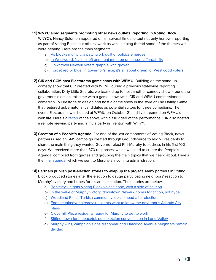#### **11) WNYC aired segments promoting other news outlets' reporting in Voting Block.**

WNYC's Nancy Solomon appeared on-air several times to tout not only her own reporting as part of Voting Block, but others' work as well, helping thread some of the themes we were hearing. Here are the main segments:

- a) As blocks multiply, a [patchwork](https://www.wnyc.org/story/5-top-questions-voters-have-new-jersey-governor-candidates) quilt of politics emerges
- b) In Westwood, NJ, the left and right meet on one issue: [affordability](https://www.wnyc.org/story/westwood-nj-left-and-right-meet-one-issue-taxes)
- c) [Downtown](https://www.wnyc.org/story/voting-block-downtown-newark-locals-grapple-growth) Newark voters grapple with growth
- d) Forget red or blue. In [governor's](https://www.wnyc.org/story/forget-red-or-blue-governors-race-its-all-about-green-westwood-voters) race, it's all about green for Westwood voters

**12) CIR and CCM host Electorama game show with WFMU.** Building on the stand-up comedy show that CIR created with WFMU during a previous statewide reporting collaboration, Dirty Little Secrets, we teamed up to host another comedy show around the governor's election, this time with a game-show twist. CIR and WFMU commissioned comedian Jo Firestone to design and host a game show in the style of The Dating Game that featured gubernatorial candidates as potential suitors for three comedians. The event, Electorama was hosted at WFMU on October 21 and livestreamed on WFMU's website. Here's a [recap](https://www.revealnews.org/press/this-is-what-happens-when-you-turn-a-governors-election-into-a-dating-game/) of the show, with a full video of the performance. CIR also hosted a remote viewing party and a trivia party in Trenton with WHYY.

- **13) Creation of a People's Agenda.** For one of the last components of Voting Block, news partners used an SMS campaign created through Groundsource to ask NJ residents to share the main thing they wanted Governor-elect Phil Murphy to address in his first 100 days. We received more than 370 responses, which we used to create the People's Agenda, compiled from quotes and grouping the main topics that we heard about. Here's the **final [agenda](https://centerforcooperativemedia.org/voting-block-read-peoples-agenda-compiled-sent-gov-elect-murphy/)**, which we sent to Murphy's incoming administration.
- **14) Partners publish post-election stories to wrap up the project.** Many partners in Voting Block produced stories after the election to gauge participating neighbors' reaction to Murphy's victory and hopes for his administration. Their stories are below:
	- a) [Berkeley](http://www.civicstory.org/civics-blog/2017/11/28/berkeley-heights-voting-block-neighbors-voice-hope-with-a-side-of-caution) Heights Voting Block voices hope, with a side of caution
	- b) In the wake of Murphy victory, [downtown](https://www.tapinto.net/towns/newark/articles/voting-block-in-wake-of-murphy-victory-downtown-1) Newark hopes for action, not hype
	- c) Woodland Park's Turkish [community](https://www.votingblocknj.com/woodland-parks-turkish-community-looks-ahead-after-new-jerseys-election) looks ahead after election
	- d) End the takeover already: residents want to know the [governor's](https://rtforty.com/end-the-takeover-already-residents-want-to-know-governors-atlantic-city-plans/) Atlantic City [plans](https://rtforty.com/end-the-takeover-already-residents-want-to-know-governors-atlantic-city-plans/)
	- e) [Cloverhill](http://www.montclairlocal.news/wp/index.php/2017/11/21/montclairs-cloverhill-place-residents-ready-for-murphy-to-get-to-work/) Place residents ready for Murphy to get to work
	- f) Sitting down for a peaceful, [post-election](http://www.njspotlight.com/stories/17/11/14/sitting-down-for-a-peaceful-post-election-conversation-in-long-valley/) conversation in Long Valley
	- g) Murphy wins, campaign signs disappear and Elmwood Avenue [neighbors](https://villagegreennj.com/election/murphy-wins-campaign-signs-disappear-and-elmwood-avenue-neighbors-remain-divided/) remain [divided](https://villagegreennj.com/election/murphy-wins-campaign-signs-disappear-and-elmwood-avenue-neighbors-remain-divided/)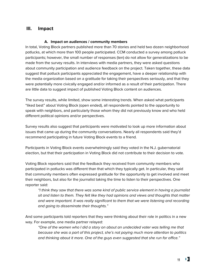# **III. Impact**

#### **A. Impact on audiences / community members**

In total, Voting Block partners published more than 70 stories and held two dozen neighborhood potlucks, at which more than 100 people participated. CCM conducted a survey among potluck participants; however, the small number of responses (ten) do not allow for generalizations to be made from the survey results. In interviews with media partners, they were asked questions about community participation and audience feedback on the project. Taken together, these data suggest that potluck participants appreciated the engagement, have a deeper relationship with the media organization based on a gratitude for taking their perspectives seriously, and that they were potentially more civically engaged and/or informed as a result of their participation. There are little data to suggest impact of published Voting Block content on audiences.

The survey results, while limited, show some interesting trends. When asked what participants "liked best" about Voting Block (open ended), all respondents pointed to the opportunity to speak with neighbors, and particularly those whom they did not previously know and who held different political opinions and/or perspectives.

Survey results also suggest that participants were motivated to look up more information about issues that came up during the community conversations. Nearly all respondents said they'd recommend participating in future Voting Block events to a friend.

Participants in Voting Block events overwhelmingly said they voted in the N.J. gubernatorial election, but that their participation in Voting Block did not contribute to their decision to vote.

Voting Block reporters said that the feedback they received from community members who participated in potlucks was different than that which they typically get. In particular, they said that community members often expressed gratitude for the opportunity to get involved and meet their neighbors, but also for the journalist taking the time to listen to their perspectives. One reporter said:

"I think they saw that there was some kind of public service element in having a journalist sit and listen to them. They felt like they had opinions and views and thoughts that matter and were important. It was really significant to them that we were listening and recording and going to disseminate their thoughts."

And some participants told reporters that they were thinking about their role in politics in a new way. For example, one media partner relayed:

"One of the women who I did a story on about an undecided voter was telling me that because she was a part of this project, she's not paying much more attention to politics and thinking about it more. One of the guys even suggested that she run for office."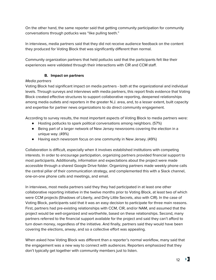On the other hand, the same reporter said that getting community participation for community conversations through potlucks was "like pulling teeth."

In interviews, media partners said that they did not receive audience feedback on the content they produced for Voting Block that was significantly different than normal.

Community organization partners that held potlucks said that the participants felt like their experiences were validated through their interactions with CIR and CCM staff.

# **B. Impact on partners**

# Media partners

Voting Block had significant impact on media partners - both at the organizational and individual levels. Through surveys and interviews with media partners, this report finds evidence that Voting Block created effective structures to support collaborative reporting, deepened relationships among media outlets and reporters in the greater N.J. area, and, to a lesser extent, built capacity and expertise for partner news organizations to do direct community engagement.

According to survey results, the most important aspects of Voting Block to media partners were:

- Hosting potlucks to spark political conversations among neighbors. (57%)
- Being part of a larger network of New Jersey newsrooms covering the election in a unique way. (49%)
- Having each newsroom focus on one community in New Jersey. (49%)

Collaboration is difficult, especially when it involves established institutions with competing interests. In order to encourage participation, organizing partners provided financial support to most participants. Additionally, information and expectations about the project were made accessible through a shared Google Drive folder. Organizing partners made weekly phone calls the central pillar of their communication strategy, and complemented this with a Slack channel, one-on-one phone calls and meetings, and email.

In interviews, most media partners said they they had participated in at least one other collaborative reporting initiative in the twelve months prior to Voting Block, at least two of which were CCM projects (Shadows of Liberty, and Dirty Little Secrets, also with CIR). In the case of Voting Block, participants said that it was an easy decision to participate for three main reasons. First, partners had pre-existing relationships with CCM, CIR, and/or NAM, and assumed that the project would be well-organized and worthwhile, based on these relationships. Second, many partners referred to the financial support available for the project and said they can't afford to turn down money, regardless of the initiative. And finally, partners said they would have been covering the elections, anway, and so a collective effort was appealing.

When asked how Voting Block was different than a reporter's normal workflow, many said that the engagement was a new way to connect with audiences. Reporters emphasized that they don't typically get together with community members just to listen.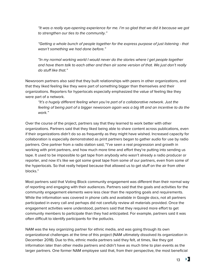"It was a really eye-opening experience for me. I'm so glad that we did it because we got to strengthen our ties to the community."

"Getting a whole bunch of people together for the express purpose of just listening - that wasn't something we had done before."

"In my normal working world I would never do the stories where I get people together and have them talk to each other and then air some version of that. We just don't really do stuff like that."

Newsroom partners also said that they built relationships with peers in other organizations, and that they liked feeling like they were part of something bigger than themselves and their organizations. Reporters for hyperlocals especially emphasized the value of feeling like they were part of a network.

"It's a hugely different feeling when you're part of a collaborative network. Just the feeling of being part of a bigger newsroom again was a big lift and an incentive to do the work."

Over the course of the project, partners say that they learned to work better with other organizations. Partners said that they liked being able to share content across publications, even if their organizations didn't do so as frequently as they might have wished. Increased capacity for collaboration is especially demonstrated as print partners began to gather audio for use by radio partners. One partner from a radio station said, "I've seen a real progression and growth in working with print partners, and how much more time and effort they're putting into sending us tape. It used to be impossible to get tape from anybody who wasn't already a radio producer or reporter, and now it's like we got some great tape from some of our partners, even from some of the hyperlocals. So that really helped because that allowed us to get stuff on the air from other blocks."

Most partners said that Voting Block community engagement was different than their normal way of reporting and engaging with their audiences. Partners said that the goals and activities for the community engagement elements were less clear than the reporting goals and requirements. While the information was covered in phone calls and available in Google docs, not all partners participated in every call and perhaps did not carefully review all materials provided. Once the engagement activities were understood, partners said that they required more effort to get community members to participate than they had anticipated. For example, partners said it was often difficult to identify participants for the potlucks.

NAM was the key organizing partner for ethnic media, and was going through its own organizational challenges at the time of this project (NAM ultimately dissolved its organization in December 2018). Due to this, ethnic media partners said they felt, at times, like they got information later than other media partners and didn't have as much time to plan events as the larger partners. One former NAM employee said that, from their perspective, the most beneficial

> х. 13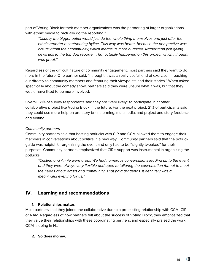part of Voting Block for their member organizations was the partnering of larger organizations with ethnic media to "actually do the reporting."

"Usually the bigger outlet would just do the whole thing themselves and just offer the ethnic reporter a contributing byline. This way was better, because the perspective was actually from their community, which means its more nuanced. Rather than just giving news tips to the top dog reporter. That actually happened on this project which I thought was great."

Regardless of the difficult nature of community engagement, most partners said they want to do more in the future. One partner said, "I thought it was a really useful kind of exercise in reaching out directly to community members and featuring their viewpoints and their stories." When asked specifically about the comedy show, partners said they were unsure what it was, but that they would have liked to be more involved.

Overall, 71% of survey respondents said they are "very likely" to participate in another collaborative project like Voting Block in the future. For the next project, 21% of participants said they could use more help on pre-story brainstorming, multimedia, and project and story feedback and editing.

#### Community partners

Community partners said that hosting potlucks with CIR and CCM allowed them to engage their members in conversations about politics in a new way. Community partners said that the potluck guide was helpful for organizing the event and only had to be "slightly tweaked" for their purposes. Community partners emphasized that CIR's support was instrumental in organizing the potlucks.

"Cristina and Annie were great. We had numerous conversations leading up to the event and they were always very flexible and open to tailoring the conversation format to meet the needs of our artists and community. That paid dividends. It definitely was a meaningful evening for us."

# **IV. Learning and recommendations**

#### **1. Relationships matter**.

Most partners said they joined the collaborative due to a preexisting relationship with CCM, CIR, or NAM. Regardless of how partners felt about the success of Voting Block, they emphasized that they value their relationships with these coordinating partners, and especially praised the work CCM is doing in N.J.

#### **2. So does money.**